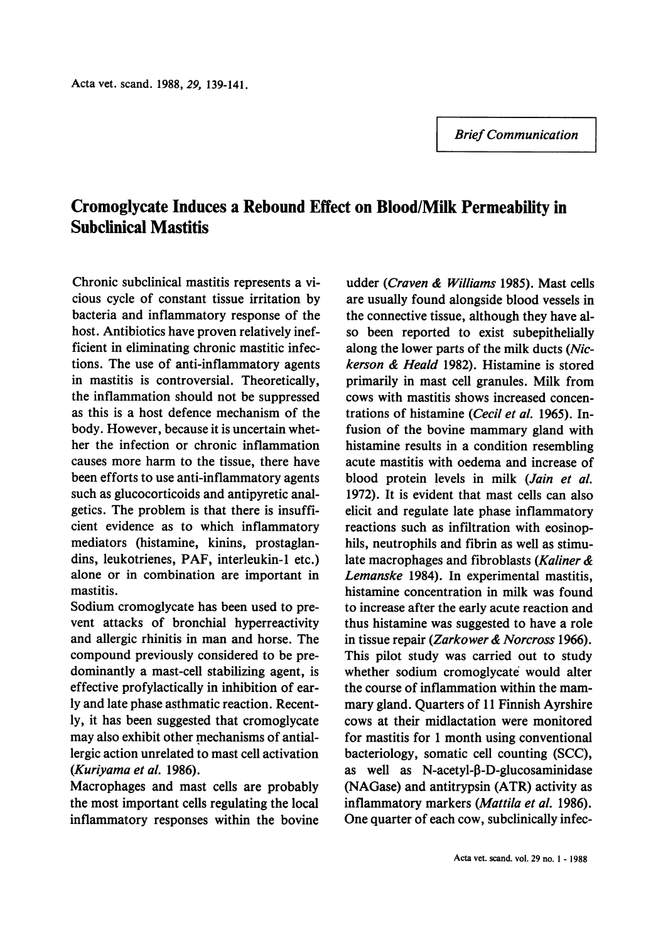*Brief Communication* 

## **Cromoglycate Induces a Rebound Effect on Blood/Milk Permeability in Subclinical Mastitis**

Chronic subclinical mastitis represents a vicious cycle of constant tissue irritation by bacteria and inflammatory response of the host. Antibiotics have proven relatively inefficient in eliminating chronic mastitic infections. The use of anti-inflammatory agents in mastitis is controversial. Theoretically, the inflammation should not be suppressed as this is a host defence mechanism of the body. However, because it is uncertain whether the infection or chronic inflammation causes more harm to the tissue, there have been efforts to use anti-inflammatory agents such as glucocorticoids and antipyretic analgetics. The problem is that there is insufficient evidence as to which inflammatory mediators (histamine, kinins, prostaglandins, leukotrienes, PAF, interleukin-1 etc.) alone or in combination are important in mastitis.

Sodium cromoglycate has been used to prevent attacks of bronchial hyperreactivity and allergic rhinitis in man and horse. The compound previously considered to be predominantly a mast-cell stabilizing agent, is effective profylactically in inhibition of early and late phase asthmatic reaction. Recently, it has been suggested that cromoglycate may also exhibit other mechanisms of antiallergic action unrelated to mast cell activation *(Kuriyama et al.* 1986).

Macrophages and mast cells are probably the most important cells regulating the local inflammatory responses within the bovine

udder *(Craven* & *Williams* 1985). Mast cells are usually found alongside blood vessels in the connective tissue, although they have also been reported to exist subepithelially along the lower parts of the milk ducts *(Nickerson* & *Heald* 1982). Histamine is stored primarily in mast cell granules. Milk from cows with mastitis shows increased concentrations of histamine *(Cecil et al.* 1965). Infusion of the bovine mammary gland with histamine results in a condition resembling acute mastitis with oedema and increase of blood protein levels in milk *(Jain et al.*  1972). It is evident that mast cells can also elicit and regulate late phase inflammatory reactions such as infiltration with eosinophils, neutrophils and fibrin as well as stimulate macrophages and fibroblasts *(Kaliner* & *Lemanske* 1984). In experimental mastitis, histamine concentration in milk was found to increase after the early acute reaction and thus histamine was suggested to have a role in tissue repair *(Zarkower* & *Norcross* 1966). This pilot study was carried out to study whether sodium cromoglycate would alter the course of inflammation within the mammary gland. Quarters of 11 Finnish Ayrshire cows at their midlactation were monitored for mastitis for 1 month using conventional bacteriology, somatic cell counting (SCC), as well as  $N$ -acetyl- $\beta$ -D-glucosaminidase (NAGase) and antitrypsin (ATR) activity as inflammatory markers *(Mattila et al.* 1986). One quarter of each cow, subclinically infec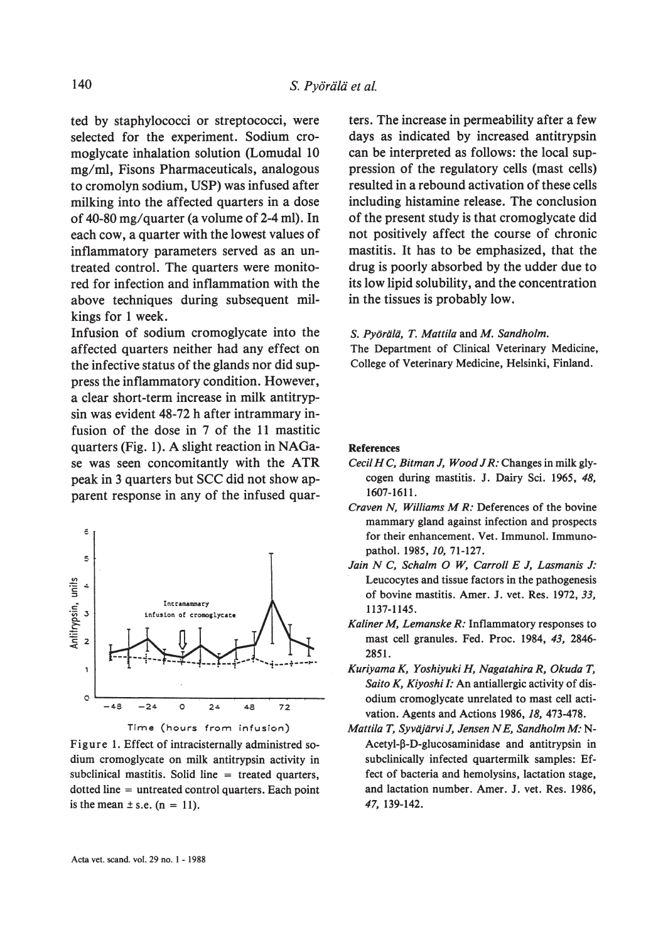ted by staphylococci or streptococci, were selected for the experiment. Sodium cromoglycate inhalation solution (Lomudal 10) mg/ml, Fisons Pharmaceuticals, analogous to cromolyn sodium, USP) was infused after milking into the affected quarters in a dose of 40-80 mg/quarter (a volume of 2-4 ml). In each cow, a quarter with the lowest values of inflammatory parameters served as an untreated control. The quarters were monitored for infection and inflammation with the above techniques during subsequent milkings for 1 week.

Infusion of sodium cromoglycate into the affected quarters neither had any effect on the infective status of the glands nor did suppress the inflammatory condition. However, a clear short-term increase in milk antitrypsin was evident 48-72 h after intrammary infusion of the dose in 7 of the 11 mastitic quarters (Fig. 1). A slight reaction in NAGase was seen concomitantly with the ATR peak in 3 quarters but SCC did not show apparent response in any of the infused quar-





Figure 1. Effect of intracisternally administred sodium cromoglycate on milk antitrypsin activity in subclinical mastitis. Solid line  $=$  treated quarters,  $dotted line = untreated control quarters. Each point$ is the mean  $\pm$  s.e. (n = 11).

ters. The increase in permeability after a few days as indicated by increased antitrypsin can be interpreted as follows: the local suppression of the regulatory cells (mast cells) resulted in a rebound activation of these cells including histamine release. The conclusion of the present study is that cromoglycate did not positively affect the course of chronic mastitis. It has to be emphasized, that the drug is poorly absorbed by the udder due to its low lipid solubility, and the concentration in the tissues is probably low.

S. Pyörälä, T. Mattila and M. Sandholm.

The Department of Clinical Veterinary Medicine, College of Veterinary Medicine, Helsinki, Finland.

## **References**

- Cecil H C, Bitman J, Wood J R: Changes in milk glycogen during mastitis. J. Dairy Sci. 1965, 48, 1607-1611.
- Craven N, Williams M R: Deferences of the bovine mammary gland against infection and prospects for their enhancement. Vet. Immunol. Immunopathol. 1985, 10, 71-127.
- Jain N C, Schalm O W, Carroll E J, Lasmanis J: Leucocytes and tissue factors in the pathogenesis of bovine mastitis. Amer. J. vet. Res. 1972, 33, 1137-1145.
- Kaliner M, Lemanske R: Inflammatory responses to mast cell granules. Fed. Proc. 1984, 43, 2846-2851.
- Kuriyama K, Yoshiyuki H, Nagatahira R, Okuda T, Saito K, Kiyoshi I: An antiallergic activity of disodium cromoglycate unrelated to mast cell activation. Agents and Actions 1986, 18, 473-478.
- Mattila T, Syväjärvi J, Jensen N E, Sandholm M: N-Acetyl-β-D-glucosaminidase and antitrypsin in subclinically infected quartermilk samples: Effect of bacteria and hemolysins, lactation stage, and lactation number. Amer. J. vet. Res. 1986, 47, 139-142.